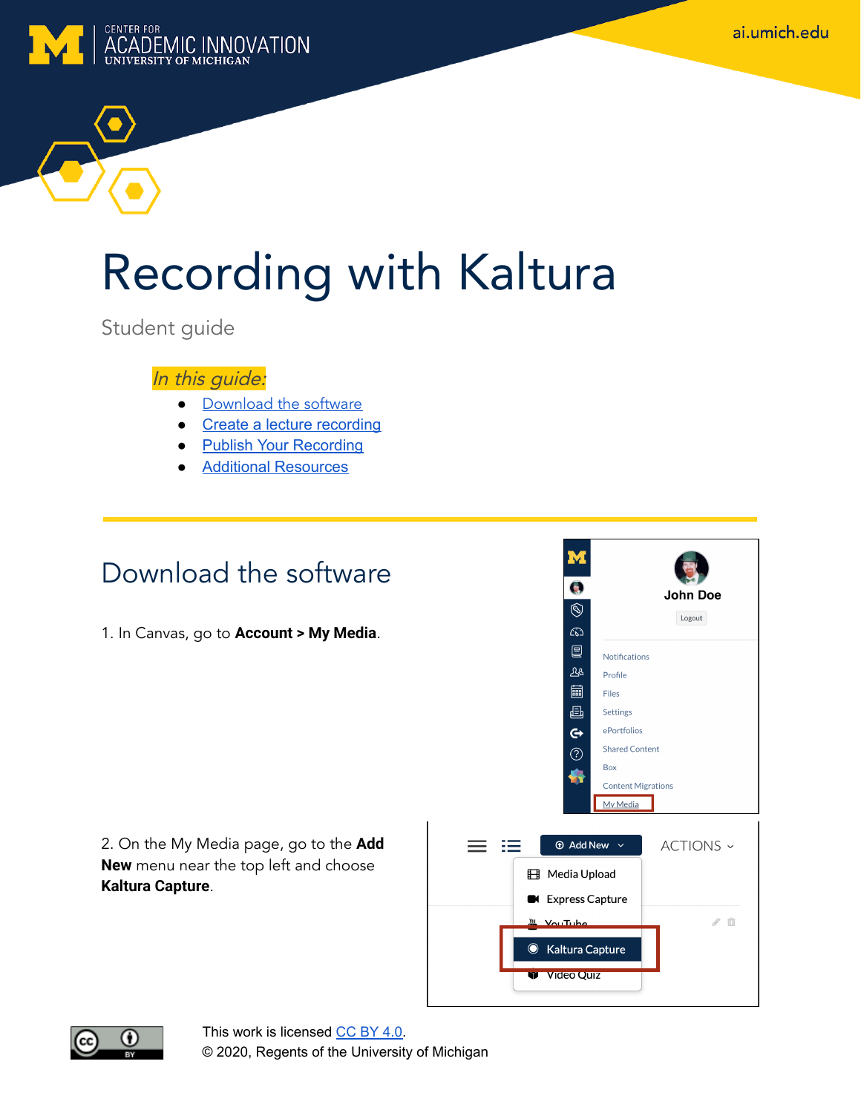ai.umich.edu



# Recording with Kaltura

Student guide

#### In this guide:

- [Download the](#page-0-0) software
- Create a lecture [recording](#page-1-0)
- Publish Your Recording
- Additional Resources

### <span id="page-0-0"></span>Download the software

1. In Canvas, go to **Account > My Media**.

2. On the My Media page, go to the **Add New** menu near the top left and choose **Kaltura Capture**.



6

 $\circledS$ 

 $\widehat{\mathcal{C}}$ 凰

 $28$ 

嗣

画

 $\mathbf{G}$ 

 $(2)$ 

Notifications

Profile

Settings

ePortfolios **Shared Content** 

Files

 $Box$ 

**John Doe** 

Logout



This work is licensed [CC](https://creativecommons.org/licenses/by/4.0/) BY 4.0. © 2020, Regents of the University of Michigan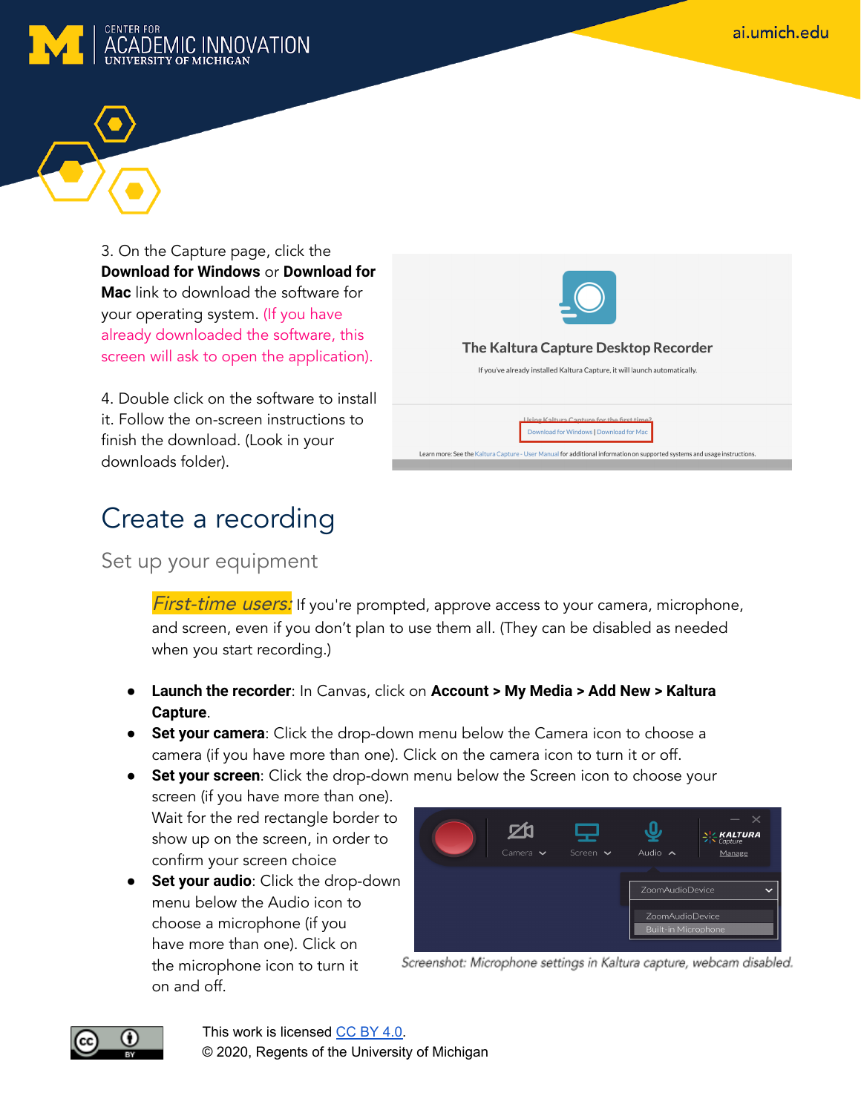



3. On the Capture page, click the **Download for Windows** or **Download for Mac** link to download the software for your operating system. (If you have already downloaded the software, this screen will ask to open the application).

4. Double click on the software to install it. Follow the on-screen instructions to finish the download. (Look in your downloads folder).

## <span id="page-1-0"></span>Create a recording

Set up your equipment

**First-time users:** If you're prompted, approve access to your camera, microphone, and screen, even if you don't plan to use them all. (They can be disabled as needed when you start recording.)

- **Launch the recorder**: In Canvas, click on **Account > My Media > Add New > Kaltura Capture**.
- **Set your camera**: Click the drop-down menu below the Camera icon to choose a camera (if you have more than one). Click on the camera icon to turn it or off.
- **Set your screen**: Click the drop-down menu below the Screen icon to choose your screen (if you have more than one). Wait for the red rectangle border to show up on the screen, in order to
	- confirm your screen choice ● **Set your audio**: Click the drop-down menu below the Audio icon to choose a microphone (if you have more than one). Click on the microphone icon to turn it on and off.



Screenshot: Microphone settings in Kaltura capture, webcam disabled.



This work is licensed [CC](https://creativecommons.org/licenses/by/4.0/) BY 4.0. © 2020, Regents of the University of Michigan



wnload for Windows | Download for Ma Learn more: See the Kaltura Capture - User Manual for additional information on supported systems and usage instructions.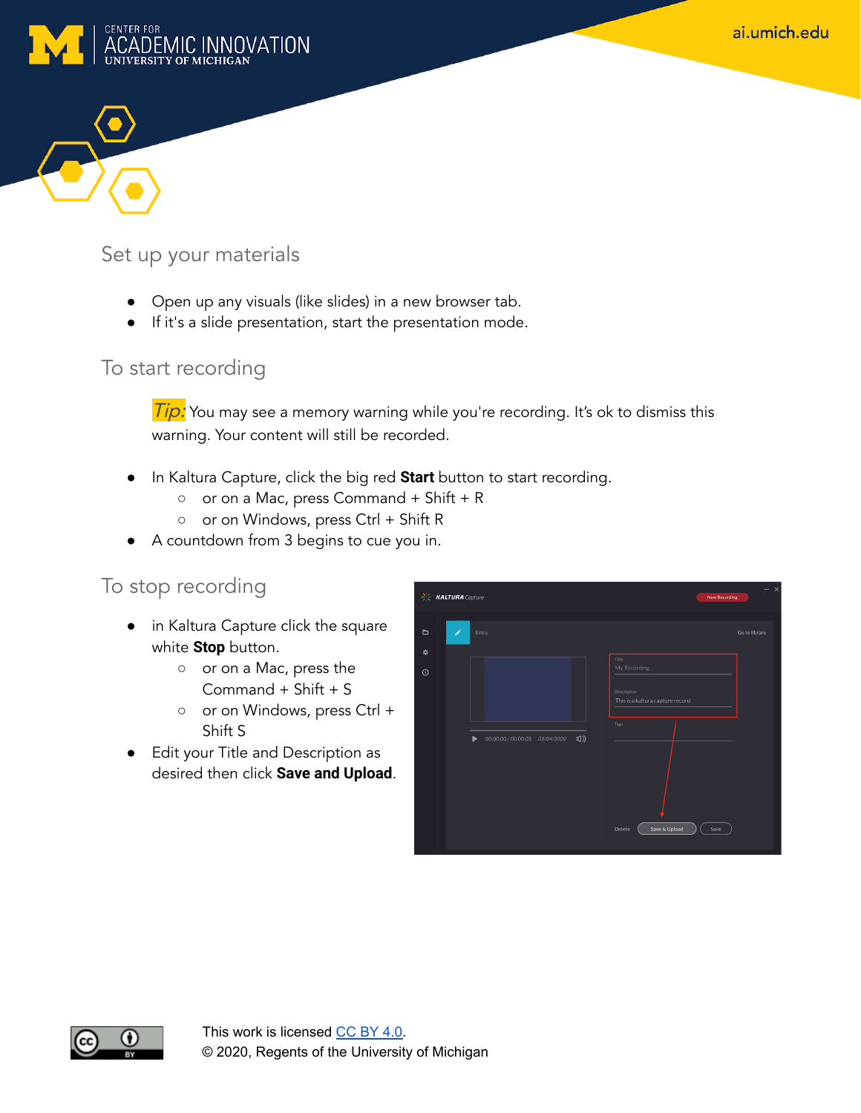



#### Set up your materials

- Open up any visuals (like slides) in a new browser tab.
- If it's a slide presentation, start the presentation mode.

#### To start recording

Tip: You may see a memory warning while you're recording. It's ok to dismiss this warning. Your content will still be recorded.

- In Kaltura Capture, click the big red **Start** button to start recording.
	- or on a Mac, press Command + Shift + R
	- or on Windows, press Ctrl + Shift R
- A countdown from 3 begins to cue you in.

#### To stop recording

- in Kaltura Capture click the square white **Stop** button.
	- o or on a Mac, press the Command + Shift + S
	- o or on Windows, press Ctrl + Shift S
- Edit your Title and Description as desired then click **Save and Upload**.

|                     | $\frac{1}{2}\int_{0}^{1}$ <b>KALTURA</b> Capture                                     | $\times$<br><b>New Recording</b> |
|---------------------|--------------------------------------------------------------------------------------|----------------------------------|
| $\blacksquare$<br>₩ | ∕<br>Entry                                                                           | Go to library                    |
| $\odot$             | Title<br>My Recording<br>Description<br>This is a kaltura capture record             |                                  |
|                     | Tags<br>$\Box$ )<br>00:00:00 / 00:00:03   03/04/2020<br>ь<br>Save & Upload<br>Delete | Save                             |